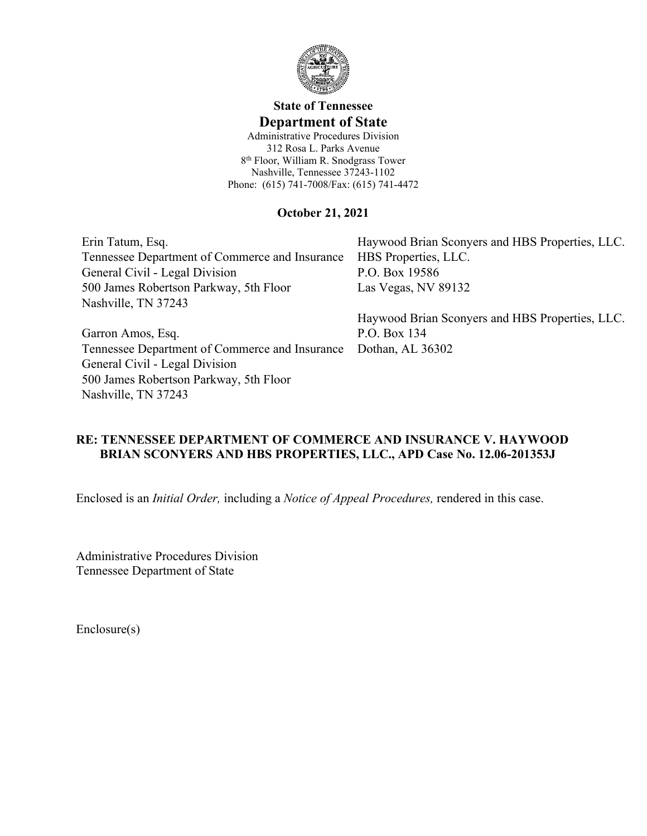

# **State of Tennessee Department of State**

Administrative Procedures Division 312 Rosa L. Parks Avenue 8 th Floor, William R. Snodgrass Tower Nashville, Tennessee 37243-1102 Phone: (615) 741-7008/Fax: (615) 741-4472

### **October 21, 2021**

Erin Tatum, Esq. Tennessee Department of Commerce and Insurance General Civil - Legal Division 500 James Robertson Parkway, 5th Floor Nashville, TN 37243

Garron Amos, Esq. Tennessee Department of Commerce and Insurance Dothan, AL 36302 General Civil - Legal Division 500 James Robertson Parkway, 5th Floor Nashville, TN 37243

Haywood Brian Sconyers and HBS Properties, LLC. HBS Properties, LLC. P.O. Box 19586 Las Vegas, NV 89132

Haywood Brian Sconyers and HBS Properties, LLC. P.O. Box 134

## **RE: TENNESSEE DEPARTMENT OF COMMERCE AND INSURANCE V. HAYWOOD BRIAN SCONYERS AND HBS PROPERTIES, LLC., APD Case No. 12.06-201353J**

Enclosed is an *Initial Order,* including a *Notice of Appeal Procedures,* rendered in this case.

Administrative Procedures Division Tennessee Department of State

Enclosure(s)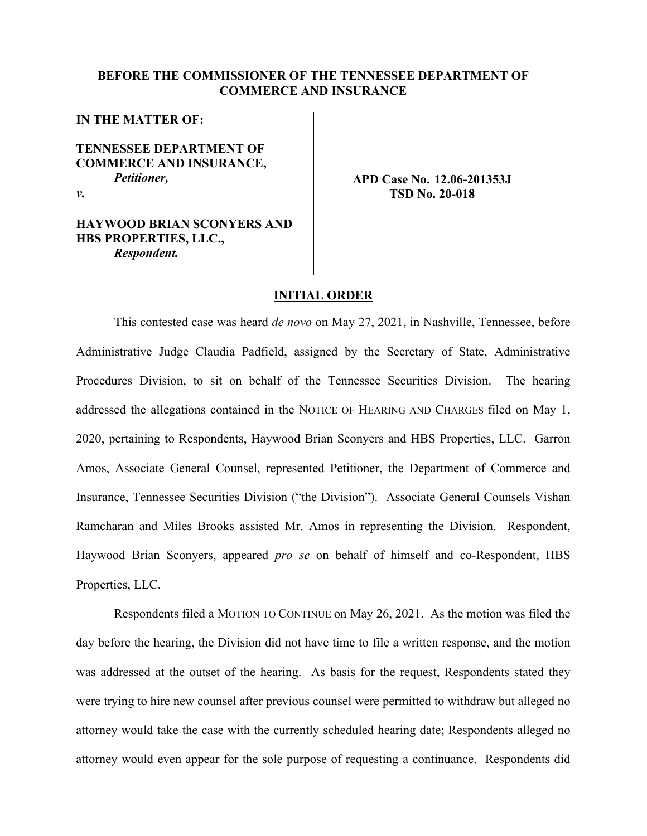#### **BEFORE THE COMMISSIONER OF THE TENNESSEE DEPARTMENT OF COMMERCE AND INSURANCE**

#### **IN THE MATTER OF:**

**TENNESSEE DEPARTMENT OF COMMERCE AND INSURANCE,** *Petitioner,*

*v.*

#### **HAYWOOD BRIAN SCONYERS AND HBS PROPERTIES, LLC.,** *Respondent.*

#### **APD Case No. 12.06-201353J TSD No. 20-018**

#### **INITIAL ORDER**

This contested case was heard *de novo* on May 27, 2021, in Nashville, Tennessee, before Administrative Judge Claudia Padfield, assigned by the Secretary of State, Administrative Procedures Division, to sit on behalf of the Tennessee Securities Division. The hearing addressed the allegations contained in the NOTICE OF HEARING AND CHARGES filed on May 1, 2020, pertaining to Respondents, Haywood Brian Sconyers and HBS Properties, LLC. Garron Amos, Associate General Counsel, represented Petitioner, the Department of Commerce and Insurance, Tennessee Securities Division ("the Division"). Associate General Counsels Vishan Ramcharan and Miles Brooks assisted Mr. Amos in representing the Division. Respondent, Haywood Brian Sconyers, appeared *pro se* on behalf of himself and co-Respondent, HBS Properties, LLC.

Respondents filed a MOTION TO CONTINUE on May 26, 2021. As the motion was filed the day before the hearing, the Division did not have time to file a written response, and the motion was addressed at the outset of the hearing. As basis for the request, Respondents stated they were trying to hire new counsel after previous counsel were permitted to withdraw but alleged no attorney would take the case with the currently scheduled hearing date; Respondents alleged no attorney would even appear for the sole purpose of requesting a continuance. Respondents did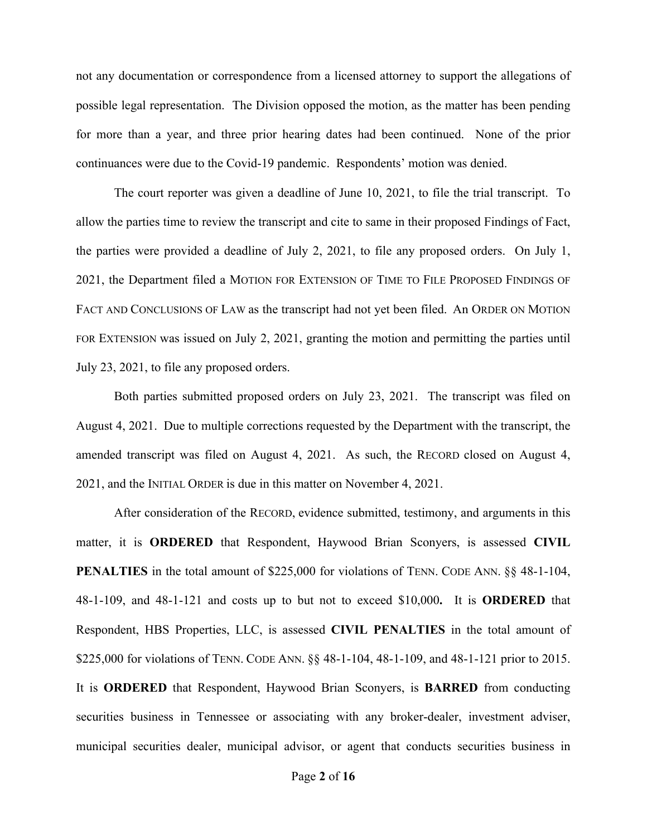not any documentation or correspondence from a licensed attorney to support the allegations of possible legal representation. The Division opposed the motion, as the matter has been pending for more than a year, and three prior hearing dates had been continued. None of the prior continuances were due to the Covid-19 pandemic. Respondents' motion was denied.

The court reporter was given a deadline of June 10, 2021, to file the trial transcript. To allow the parties time to review the transcript and cite to same in their proposed Findings of Fact, the parties were provided a deadline of July 2, 2021, to file any proposed orders. On July 1, 2021, the Department filed a MOTION FOR EXTENSION OF TIME TO FILE PROPOSED FINDINGS OF FACT AND CONCLUSIONS OF LAW as the transcript had not yet been filed. An ORDER ON MOTION FOR EXTENSION was issued on July 2, 2021, granting the motion and permitting the parties until July 23, 2021, to file any proposed orders.

Both parties submitted proposed orders on July 23, 2021. The transcript was filed on August 4, 2021. Due to multiple corrections requested by the Department with the transcript, the amended transcript was filed on August 4, 2021. As such, the RECORD closed on August 4, 2021, and the INITIAL ORDER is due in this matter on November 4, 2021.

After consideration of the RECORD, evidence submitted, testimony, and arguments in this matter, it is **ORDERED** that Respondent, Haywood Brian Sconyers, is assessed **CIVIL PENALTIES** in the total amount of \$225,000 for violations of TENN. CODE ANN.  $\S$ § 48-1-104, 48-1-109, and 48-1-121 and costs up to but not to exceed \$10,000**.** It is **ORDERED** that Respondent, HBS Properties, LLC, is assessed **CIVIL PENALTIES** in the total amount of \$225,000 for violations of TENN. CODE ANN. §§ 48-1-104, 48-1-109, and 48-1-121 prior to 2015. It is **ORDERED** that Respondent, Haywood Brian Sconyers, is **BARRED** from conducting securities business in Tennessee or associating with any broker-dealer, investment adviser, municipal securities dealer, municipal advisor, or agent that conducts securities business in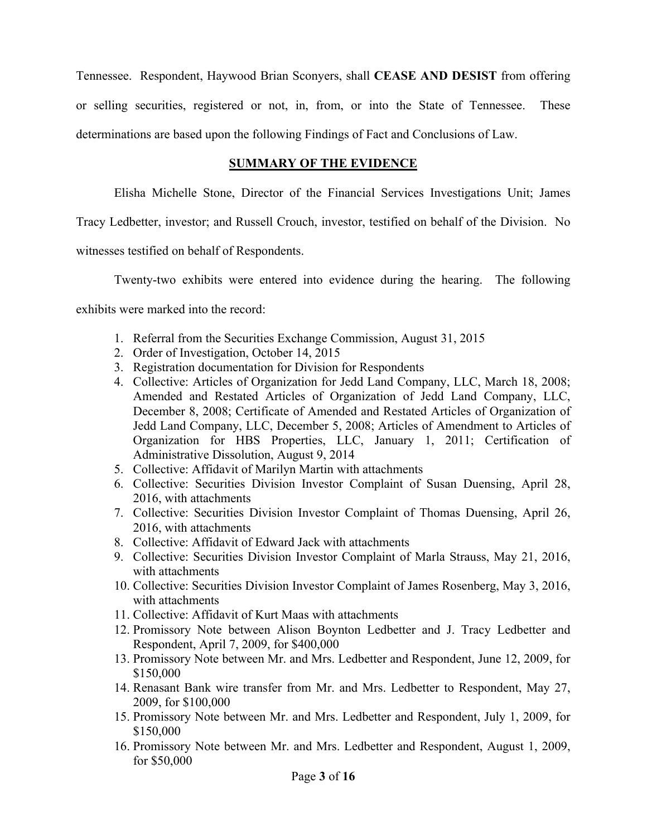Tennessee. Respondent, Haywood Brian Sconyers, shall **CEASE AND DESIST** from offering or selling securities, registered or not, in, from, or into the State of Tennessee. These determinations are based upon the following Findings of Fact and Conclusions of Law.

## **SUMMARY OF THE EVIDENCE**

Elisha Michelle Stone, Director of the Financial Services Investigations Unit; James

Tracy Ledbetter, investor; and Russell Crouch, investor, testified on behalf of the Division. No

witnesses testified on behalf of Respondents.

Twenty-two exhibits were entered into evidence during the hearing. The following exhibits were marked into the record:

- 1. Referral from the Securities Exchange Commission, August 31, 2015
- 2. Order of Investigation, October 14, 2015
- 3. Registration documentation for Division for Respondents
- 4. Collective: Articles of Organization for Jedd Land Company, LLC, March 18, 2008; Amended and Restated Articles of Organization of Jedd Land Company, LLC, December 8, 2008; Certificate of Amended and Restated Articles of Organization of Jedd Land Company, LLC, December 5, 2008; Articles of Amendment to Articles of Organization for HBS Properties, LLC, January 1, 2011; Certification of Administrative Dissolution, August 9, 2014
- 5. Collective: Affidavit of Marilyn Martin with attachments
- 6. Collective: Securities Division Investor Complaint of Susan Duensing, April 28, 2016, with attachments
- 7. Collective: Securities Division Investor Complaint of Thomas Duensing, April 26, 2016, with attachments
- 8. Collective: Affidavit of Edward Jack with attachments
- 9. Collective: Securities Division Investor Complaint of Marla Strauss, May 21, 2016, with attachments
- 10. Collective: Securities Division Investor Complaint of James Rosenberg, May 3, 2016, with attachments
- 11. Collective: Affidavit of Kurt Maas with attachments
- 12. Promissory Note between Alison Boynton Ledbetter and J. Tracy Ledbetter and Respondent, April 7, 2009, for \$400,000
- 13. Promissory Note between Mr. and Mrs. Ledbetter and Respondent, June 12, 2009, for \$150,000
- 14. Renasant Bank wire transfer from Mr. and Mrs. Ledbetter to Respondent, May 27, 2009, for \$100,000
- 15. Promissory Note between Mr. and Mrs. Ledbetter and Respondent, July 1, 2009, for \$150,000
- 16. Promissory Note between Mr. and Mrs. Ledbetter and Respondent, August 1, 2009, for \$50,000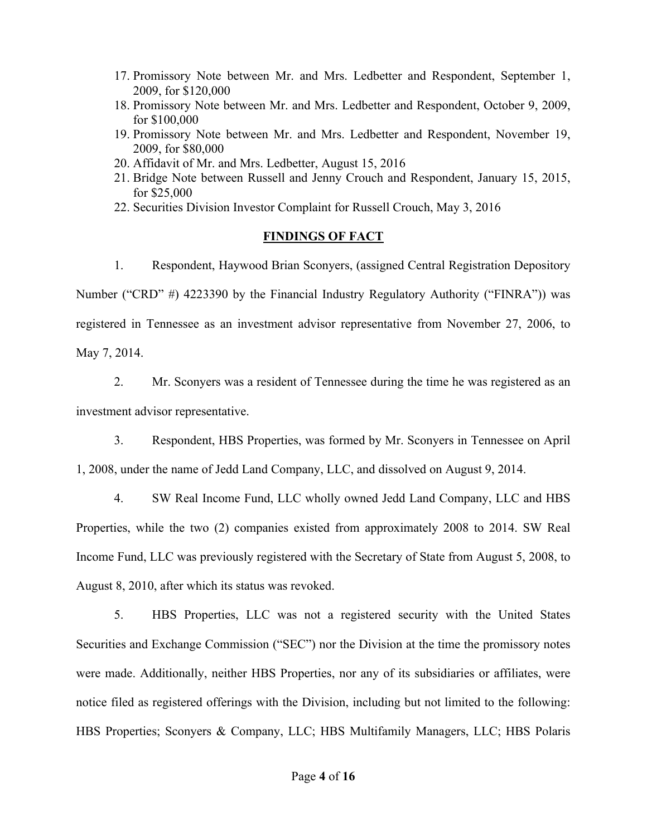- 17. Promissory Note between Mr. and Mrs. Ledbetter and Respondent, September 1, 2009, for \$120,000
- 18. Promissory Note between Mr. and Mrs. Ledbetter and Respondent, October 9, 2009, for \$100,000
- 19. Promissory Note between Mr. and Mrs. Ledbetter and Respondent, November 19, 2009, for \$80,000
- 20. Affidavit of Mr. and Mrs. Ledbetter, August 15, 2016
- 21. Bridge Note between Russell and Jenny Crouch and Respondent, January 15, 2015, for \$25,000
- 22. Securities Division Investor Complaint for Russell Crouch, May 3, 2016

#### **FINDINGS OF FACT**

1. Respondent, Haywood Brian Sconyers, (assigned Central Registration Depository Number ("CRD" #) 4223390 by the Financial Industry Regulatory Authority ("FINRA")) was registered in Tennessee as an investment advisor representative from November 27, 2006, to May 7, 2014.

2. Mr. Sconyers was a resident of Tennessee during the time he was registered as an investment advisor representative.

3. Respondent, HBS Properties, was formed by Mr. Sconyers in Tennessee on April 1, 2008, under the name of Jedd Land Company, LLC, and dissolved on August 9, 2014.

4. SW Real Income Fund, LLC wholly owned Jedd Land Company, LLC and HBS Properties, while the two (2) companies existed from approximately 2008 to 2014. SW Real Income Fund, LLC was previously registered with the Secretary of State from August 5, 2008, to August 8, 2010, after which its status was revoked.

5. HBS Properties, LLC was not a registered security with the United States Securities and Exchange Commission ("SEC") nor the Division at the time the promissory notes were made. Additionally, neither HBS Properties, nor any of its subsidiaries or affiliates, were notice filed as registered offerings with the Division, including but not limited to the following: HBS Properties; Sconyers & Company, LLC; HBS Multifamily Managers, LLC; HBS Polaris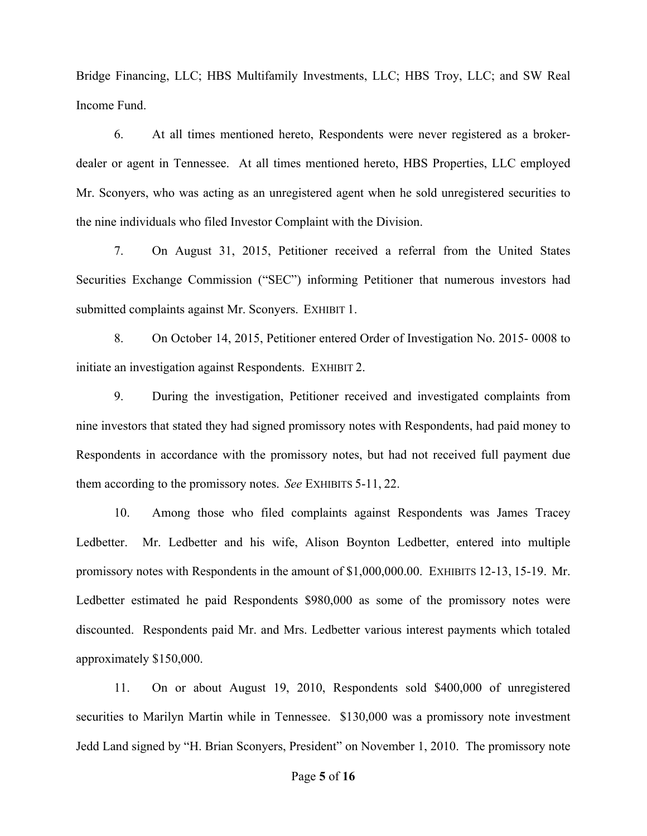Bridge Financing, LLC; HBS Multifamily Investments, LLC; HBS Troy, LLC; and SW Real Income Fund.

6. At all times mentioned hereto, Respondents were never registered as a brokerdealer or agent in Tennessee. At all times mentioned hereto, HBS Properties, LLC employed Mr. Sconyers, who was acting as an unregistered agent when he sold unregistered securities to the nine individuals who filed Investor Complaint with the Division.

7. On August 31, 2015, Petitioner received a referral from the United States Securities Exchange Commission ("SEC") informing Petitioner that numerous investors had submitted complaints against Mr. Sconyers. EXHIBIT 1.

8. On October 14, 2015, Petitioner entered Order of Investigation No. 2015- 0008 to initiate an investigation against Respondents. EXHIBIT 2.

9. During the investigation, Petitioner received and investigated complaints from nine investors that stated they had signed promissory notes with Respondents, had paid money to Respondents in accordance with the promissory notes, but had not received full payment due them according to the promissory notes. *See* EXHIBITS 5-11, 22.

10. Among those who filed complaints against Respondents was James Tracey Ledbetter. Mr. Ledbetter and his wife, Alison Boynton Ledbetter, entered into multiple promissory notes with Respondents in the amount of \$1,000,000.00. EXHIBITS 12-13, 15-19. Mr. Ledbetter estimated he paid Respondents \$980,000 as some of the promissory notes were discounted. Respondents paid Mr. and Mrs. Ledbetter various interest payments which totaled approximately \$150,000.

11. On or about August 19, 2010, Respondents sold \$400,000 of unregistered securities to Marilyn Martin while in Tennessee. \$130,000 was a promissory note investment Jedd Land signed by "H. Brian Sconyers, President" on November 1, 2010. The promissory note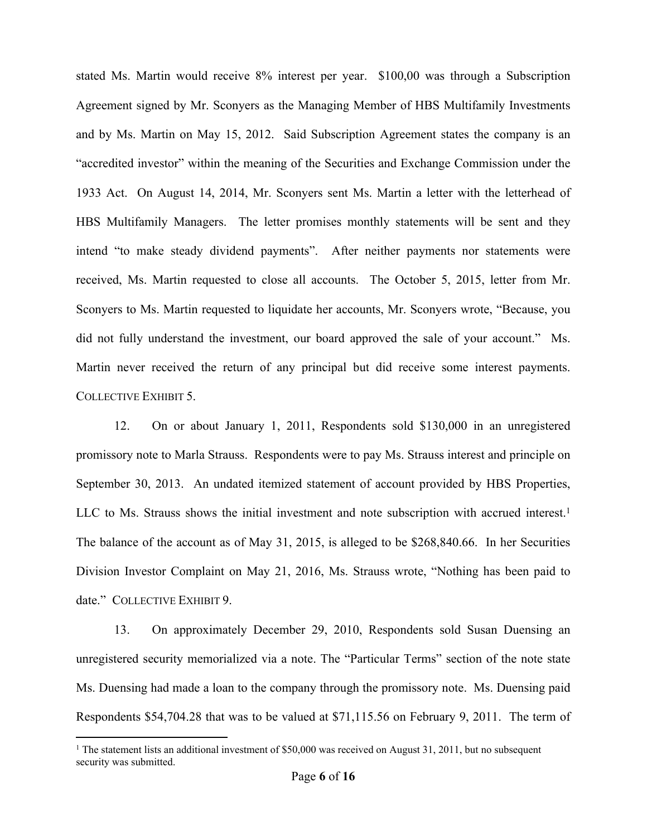stated Ms. Martin would receive 8% interest per year. \$100,00 was through a Subscription Agreement signed by Mr. Sconyers as the Managing Member of HBS Multifamily Investments and by Ms. Martin on May 15, 2012. Said Subscription Agreement states the company is an "accredited investor" within the meaning of the Securities and Exchange Commission under the 1933 Act. On August 14, 2014, Mr. Sconyers sent Ms. Martin a letter with the letterhead of HBS Multifamily Managers. The letter promises monthly statements will be sent and they intend "to make steady dividend payments". After neither payments nor statements were received, Ms. Martin requested to close all accounts. The October 5, 2015, letter from Mr. Sconyers to Ms. Martin requested to liquidate her accounts, Mr. Sconyers wrote, "Because, you did not fully understand the investment, our board approved the sale of your account." Ms. Martin never received the return of any principal but did receive some interest payments. COLLECTIVE EXHIBIT 5.

12. On or about January 1, 2011, Respondents sold \$130,000 in an unregistered promissory note to Marla Strauss. Respondents were to pay Ms. Strauss interest and principle on September 30, 2013. An undated itemized statement of account provided by HBS Properties, LLC to Ms. Strauss shows the initial investment and note subscription with accrued interest.<sup>1</sup> The balance of the account as of May 31, 2015, is alleged to be \$268,840.66. In her Securities Division Investor Complaint on May 21, 2016, Ms. Strauss wrote, "Nothing has been paid to date." COLLECTIVE EXHIBIT 9.

13. On approximately December 29, 2010, Respondents sold Susan Duensing an unregistered security memorialized via a note. The "Particular Terms" section of the note state Ms. Duensing had made a loan to the company through the promissory note. Ms. Duensing paid Respondents \$54,704.28 that was to be valued at \$71,115.56 on February 9, 2011. The term of

<sup>&</sup>lt;sup>1</sup> The statement lists an additional investment of \$50,000 was received on August 31, 2011, but no subsequent security was submitted.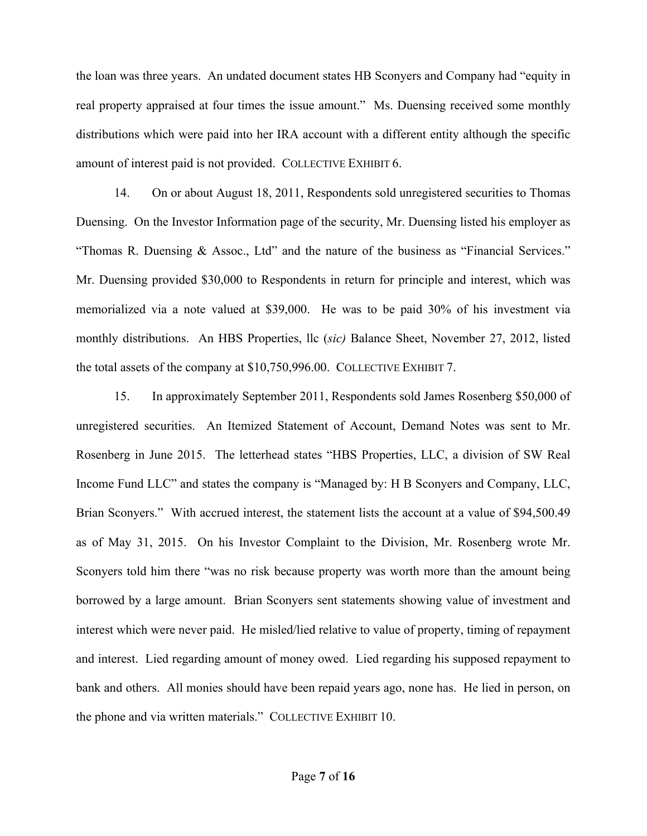the loan was three years. An undated document states HB Sconyers and Company had "equity in real property appraised at four times the issue amount." Ms. Duensing received some monthly distributions which were paid into her IRA account with a different entity although the specific amount of interest paid is not provided. COLLECTIVE EXHIBIT 6.

14. On or about August 18, 2011, Respondents sold unregistered securities to Thomas Duensing. On the Investor Information page of the security, Mr. Duensing listed his employer as "Thomas R. Duensing & Assoc., Ltd" and the nature of the business as "Financial Services." Mr. Duensing provided \$30,000 to Respondents in return for principle and interest, which was memorialized via a note valued at \$39,000. He was to be paid 30% of his investment via monthly distributions. An HBS Properties, llc (*sic)* Balance Sheet, November 27, 2012, listed the total assets of the company at \$10,750,996.00. COLLECTIVE EXHIBIT 7.

15. In approximately September 2011, Respondents sold James Rosenberg \$50,000 of unregistered securities. An Itemized Statement of Account, Demand Notes was sent to Mr. Rosenberg in June 2015. The letterhead states "HBS Properties, LLC, a division of SW Real Income Fund LLC" and states the company is "Managed by: H B Sconyers and Company, LLC, Brian Sconyers." With accrued interest, the statement lists the account at a value of \$94,500.49 as of May 31, 2015. On his Investor Complaint to the Division, Mr. Rosenberg wrote Mr. Sconyers told him there "was no risk because property was worth more than the amount being borrowed by a large amount. Brian Sconyers sent statements showing value of investment and interest which were never paid. He misled/lied relative to value of property, timing of repayment and interest. Lied regarding amount of money owed. Lied regarding his supposed repayment to bank and others. All monies should have been repaid years ago, none has. He lied in person, on the phone and via written materials." COLLECTIVE EXHIBIT 10.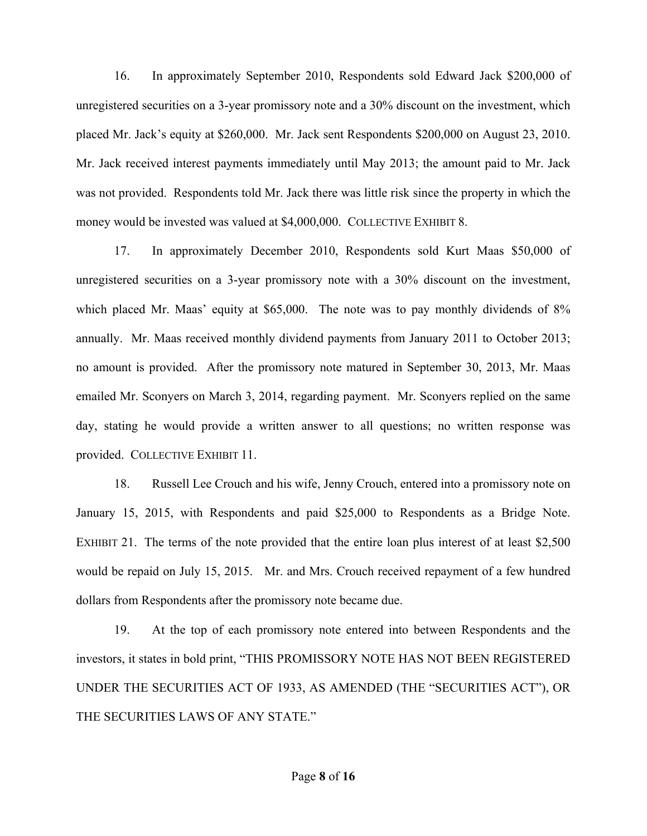16. In approximately September 2010, Respondents sold Edward Jack \$200,000 of unregistered securities on a 3-year promissory note and a 30% discount on the investment, which placed Mr. Jack's equity at \$260,000. Mr. Jack sent Respondents \$200,000 on August 23, 2010. Mr. Jack received interest payments immediately until May 2013; the amount paid to Mr. Jack was not provided. Respondents told Mr. Jack there was little risk since the property in which the money would be invested was valued at \$4,000,000. COLLECTIVE EXHIBIT 8.

17. In approximately December 2010, Respondents sold Kurt Maas \$50,000 of unregistered securities on a 3-year promissory note with a 30% discount on the investment, which placed Mr. Maas' equity at \$65,000. The note was to pay monthly dividends of 8% annually. Mr. Maas received monthly dividend payments from January 2011 to October 2013; no amount is provided. After the promissory note matured in September 30, 2013, Mr. Maas emailed Mr. Sconyers on March 3, 2014, regarding payment. Mr. Sconyers replied on the same day, stating he would provide a written answer to all questions; no written response was provided. COLLECTIVE EXHIBIT 11.

18. Russell Lee Crouch and his wife, Jenny Crouch, entered into a promissory note on January 15, 2015, with Respondents and paid \$25,000 to Respondents as a Bridge Note. EXHIBIT 21. The terms of the note provided that the entire loan plus interest of at least \$2,500 would be repaid on July 15, 2015. Mr. and Mrs. Crouch received repayment of a few hundred dollars from Respondents after the promissory note became due.

19. At the top of each promissory note entered into between Respondents and the investors, it states in bold print, "THIS PROMISSORY NOTE HAS NOT BEEN REGISTERED UNDER THE SECURITIES ACT OF 1933, AS AMENDED (THE "SECURITIES ACT"), OR THE SECURITIES LAWS OF ANY STATE."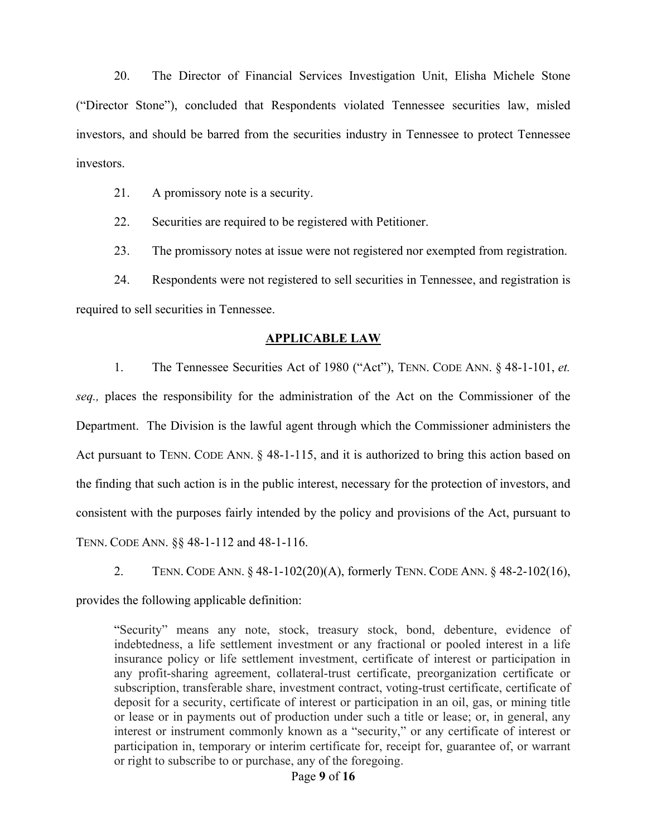20. The Director of Financial Services Investigation Unit, Elisha Michele Stone ("Director Stone"), concluded that Respondents violated Tennessee securities law, misled investors, and should be barred from the securities industry in Tennessee to protect Tennessee investors.

21. A promissory note is a security.

22. Securities are required to be registered with Petitioner.

23. The promissory notes at issue were not registered nor exempted from registration.

24. Respondents were not registered to sell securities in Tennessee, and registration is required to sell securities in Tennessee.

#### **APPLICABLE LAW**

1. The Tennessee Securities Act of 1980 ("Act"), TENN. CODE ANN. § 48-1-101, *et. seq.,* places the responsibility for the administration of the Act on the Commissioner of the Department. The Division is the lawful agent through which the Commissioner administers the Act pursuant to TENN. CODE ANN. § 48-1-115, and it is authorized to bring this action based on the finding that such action is in the public interest, necessary for the protection of investors, and consistent with the purposes fairly intended by the policy and provisions of the Act, pursuant to TENN. CODE ANN. §§ 48-1-112 and 48-1-116.

2. TENN. CODE ANN. § 48-1-102(20)(A), formerly TENN. CODE ANN. § 48-2-102(16),

provides the following applicable definition:

"Security" means any note, stock, treasury stock, bond, debenture, evidence of indebtedness, a life settlement investment or any fractional or pooled interest in a life insurance policy or life settlement investment, certificate of interest or participation in any profit-sharing agreement, collateral-trust certificate, preorganization certificate or subscription, transferable share, investment contract, voting-trust certificate, certificate of deposit for a security, certificate of interest or participation in an oil, gas, or mining title or lease or in payments out of production under such a title or lease; or, in general, any interest or instrument commonly known as a "security," or any certificate of interest or participation in, temporary or interim certificate for, receipt for, guarantee of, or warrant or right to subscribe to or purchase, any of the foregoing.

#### Page **9** of **16**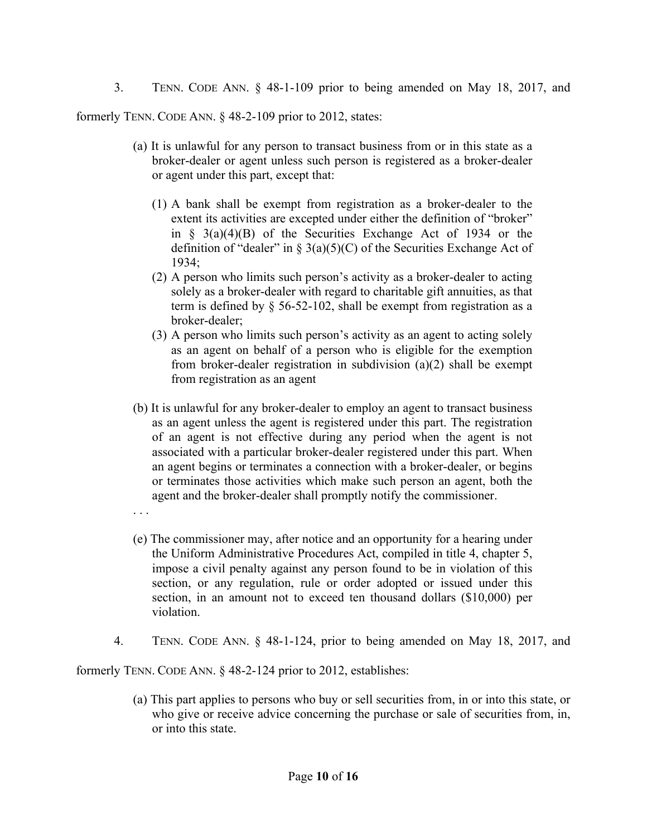3. TENN. CODE ANN. § 48-1-109 prior to being amended on May 18, 2017, and

formerly TENN. CODE ANN. § 48-2-109 prior to 2012, states:

- (a) It is unlawful for any person to transact business from or in this state as a broker-dealer or agent unless such person is registered as a broker-dealer or agent under this part, except that:
	- (1) A bank shall be exempt from registration as a broker-dealer to the extent its activities are excepted under either the definition of "broker" in  $\S$  3(a)(4)(B) of the Securities Exchange Act of 1934 or the definition of "dealer" in  $\S$  3(a)(5)(C) of the Securities Exchange Act of 1934;
	- (2) A person who limits such person's activity as a broker-dealer to acting solely as a broker-dealer with regard to charitable gift annuities, as that term is defined by § 56-52-102, shall be exempt from registration as a broker-dealer;
	- (3) A person who limits such person's activity as an agent to acting solely as an agent on behalf of a person who is eligible for the exemption from broker-dealer registration in subdivision (a)(2) shall be exempt from registration as an agent
- (b) It is unlawful for any broker-dealer to employ an agent to transact business as an agent unless the agent is registered under this part. The registration of an agent is not effective during any period when the agent is not associated with a particular broker-dealer registered under this part. When an agent begins or terminates a connection with a broker-dealer, or begins or terminates those activities which make such person an agent, both the agent and the broker-dealer shall promptly notify the commissioner.
- . . .
- (e) The commissioner may, after notice and an opportunity for a hearing under the Uniform Administrative Procedures Act, compiled in title 4, chapter 5, impose a civil penalty against any person found to be in violation of this section, or any regulation, rule or order adopted or issued under this section, in an amount not to exceed ten thousand dollars (\$10,000) per violation.
- 4. TENN. CODE ANN. § 48-1-124, prior to being amended on May 18, 2017, and

formerly TENN. CODE ANN. § 48-2-124 prior to 2012, establishes:

(a) This part applies to persons who buy or sell securities from, in or into this state, or who give or receive advice concerning the purchase or sale of securities from, in, or into this state.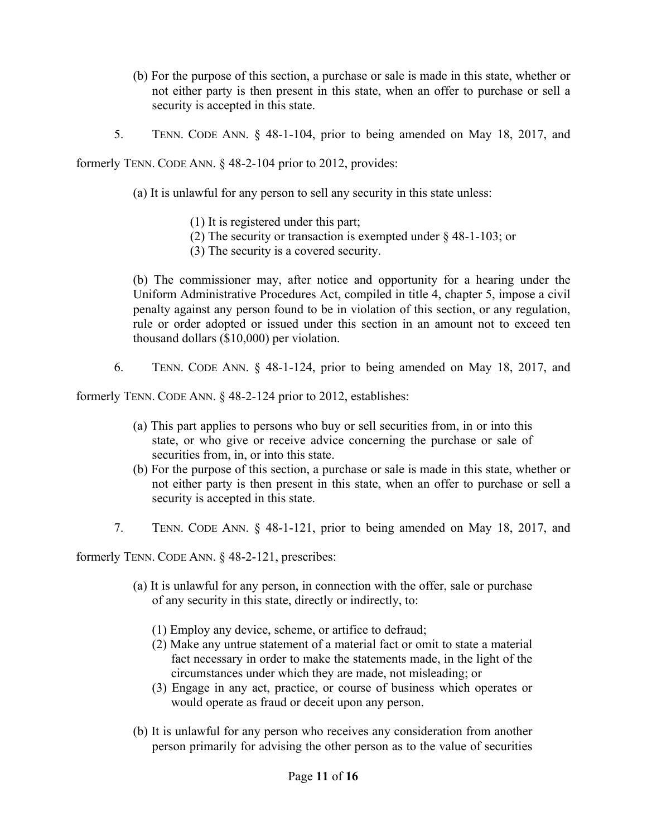- (b) For the purpose of this section, a purchase or sale is made in this state, whether or not either party is then present in this state, when an offer to purchase or sell a security is accepted in this state.
- 5. TENN. CODE ANN. § 48-1-104, prior to being amended on May 18, 2017, and

formerly TENN. CODE ANN. § 48-2-104 prior to 2012, provides:

- (a) It is unlawful for any person to sell any security in this state unless:
	- (1) It is registered under this part;
	- (2) The security or transaction is exempted under § 48-1-103; or
	- (3) The security is a covered security.

(b) The commissioner may, after notice and opportunity for a hearing under the Uniform Administrative Procedures Act, compiled in title 4, chapter 5, impose a civil penalty against any person found to be in violation of this section, or any regulation, rule or order adopted or issued under this section in an amount not to exceed ten thousand dollars (\$10,000) per violation.

6. TENN. CODE ANN. § 48-1-124, prior to being amended on May 18, 2017, and

formerly TENN. CODE ANN. § 48-2-124 prior to 2012, establishes:

- (a) This part applies to persons who buy or sell securities from, in or into this state, or who give or receive advice concerning the purchase or sale of securities from, in, or into this state.
- (b) For the purpose of this section, a purchase or sale is made in this state, whether or not either party is then present in this state, when an offer to purchase or sell a security is accepted in this state.
- 7. TENN. CODE ANN. § 48-1-121, prior to being amended on May 18, 2017, and

formerly TENN. CODE ANN. § 48-2-121, prescribes:

- (a) It is unlawful for any person, in connection with the offer, sale or purchase of any security in this state, directly or indirectly, to:
	- (1) Employ any device, scheme, or artifice to defraud;
	- (2) Make any untrue statement of a material fact or omit to state a material fact necessary in order to make the statements made, in the light of the circumstances under which they are made, not misleading; or
	- (3) Engage in any act, practice, or course of business which operates or would operate as fraud or deceit upon any person.
- (b) It is unlawful for any person who receives any consideration from another person primarily for advising the other person as to the value of securities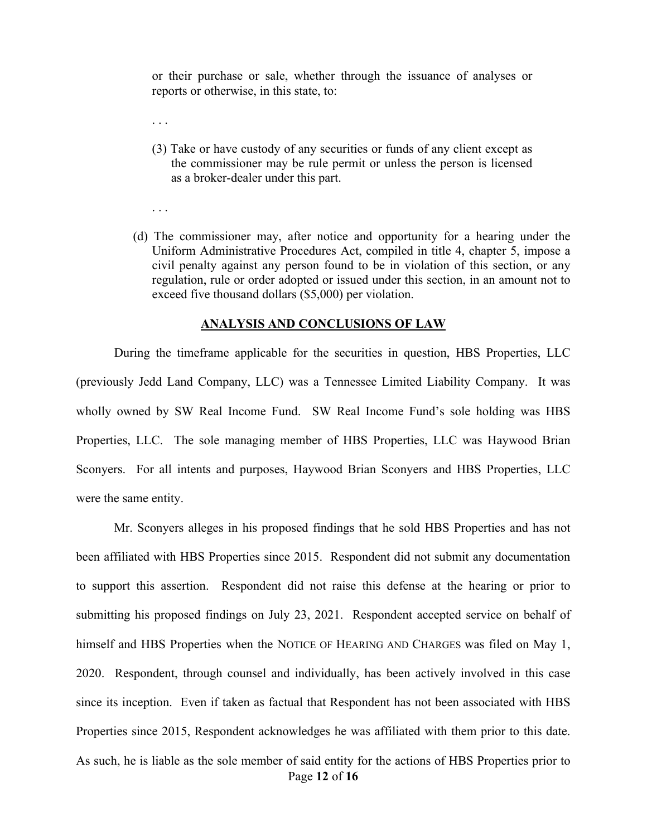or their purchase or sale, whether through the issuance of analyses or reports or otherwise, in this state, to:

. . .

. . .

- (3) Take or have custody of any securities or funds of any client except as the commissioner may be rule permit or unless the person is licensed as a broker-dealer under this part.
- (d) The commissioner may, after notice and opportunity for a hearing under the Uniform Administrative Procedures Act, compiled in title 4, chapter 5, impose a civil penalty against any person found to be in violation of this section, or any regulation, rule or order adopted or issued under this section, in an amount not to exceed five thousand dollars (\$5,000) per violation.

#### **ANALYSIS AND CONCLUSIONS OF LAW**

During the timeframe applicable for the securities in question, HBS Properties, LLC (previously Jedd Land Company, LLC) was a Tennessee Limited Liability Company. It was wholly owned by SW Real Income Fund. SW Real Income Fund's sole holding was HBS Properties, LLC. The sole managing member of HBS Properties, LLC was Haywood Brian Sconyers. For all intents and purposes, Haywood Brian Sconyers and HBS Properties, LLC were the same entity.

Page **12** of **16** Mr. Sconyers alleges in his proposed findings that he sold HBS Properties and has not been affiliated with HBS Properties since 2015. Respondent did not submit any documentation to support this assertion. Respondent did not raise this defense at the hearing or prior to submitting his proposed findings on July 23, 2021. Respondent accepted service on behalf of himself and HBS Properties when the NOTICE OF HEARING AND CHARGES was filed on May 1, 2020. Respondent, through counsel and individually, has been actively involved in this case since its inception. Even if taken as factual that Respondent has not been associated with HBS Properties since 2015, Respondent acknowledges he was affiliated with them prior to this date. As such, he is liable as the sole member of said entity for the actions of HBS Properties prior to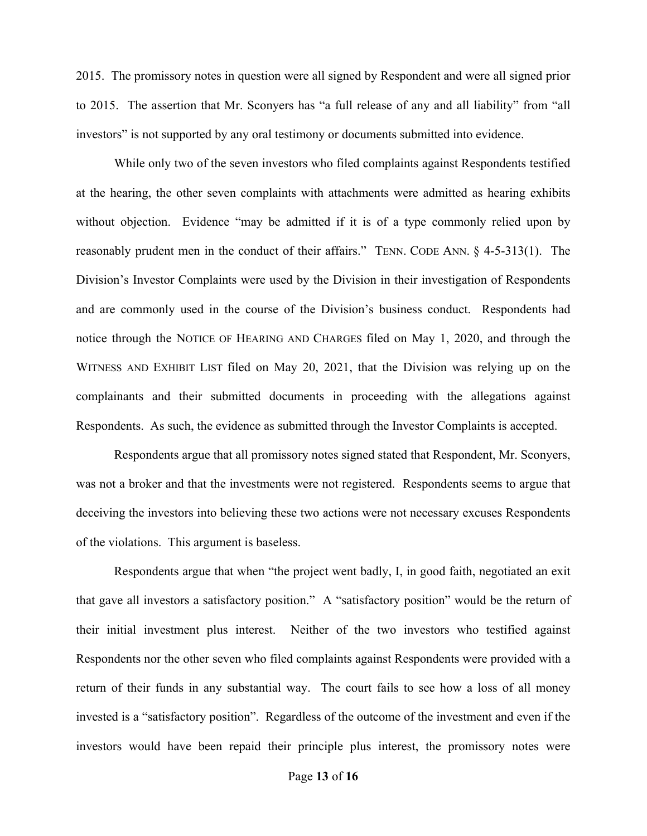2015. The promissory notes in question were all signed by Respondent and were all signed prior to 2015. The assertion that Mr. Sconyers has "a full release of any and all liability" from "all investors" is not supported by any oral testimony or documents submitted into evidence.

While only two of the seven investors who filed complaints against Respondents testified at the hearing, the other seven complaints with attachments were admitted as hearing exhibits without objection. Evidence "may be admitted if it is of a type commonly relied upon by reasonably prudent men in the conduct of their affairs." TENN. CODE ANN. § 4-5-313(1). The Division's Investor Complaints were used by the Division in their investigation of Respondents and are commonly used in the course of the Division's business conduct. Respondents had notice through the NOTICE OF HEARING AND CHARGES filed on May 1, 2020, and through the WITNESS AND EXHIBIT LIST filed on May 20, 2021, that the Division was relying up on the complainants and their submitted documents in proceeding with the allegations against Respondents. As such, the evidence as submitted through the Investor Complaints is accepted.

Respondents argue that all promissory notes signed stated that Respondent, Mr. Sconyers, was not a broker and that the investments were not registered. Respondents seems to argue that deceiving the investors into believing these two actions were not necessary excuses Respondents of the violations. This argument is baseless.

Respondents argue that when "the project went badly, I, in good faith, negotiated an exit that gave all investors a satisfactory position." A "satisfactory position" would be the return of their initial investment plus interest. Neither of the two investors who testified against Respondents nor the other seven who filed complaints against Respondents were provided with a return of their funds in any substantial way. The court fails to see how a loss of all money invested is a "satisfactory position". Regardless of the outcome of the investment and even if the investors would have been repaid their principle plus interest, the promissory notes were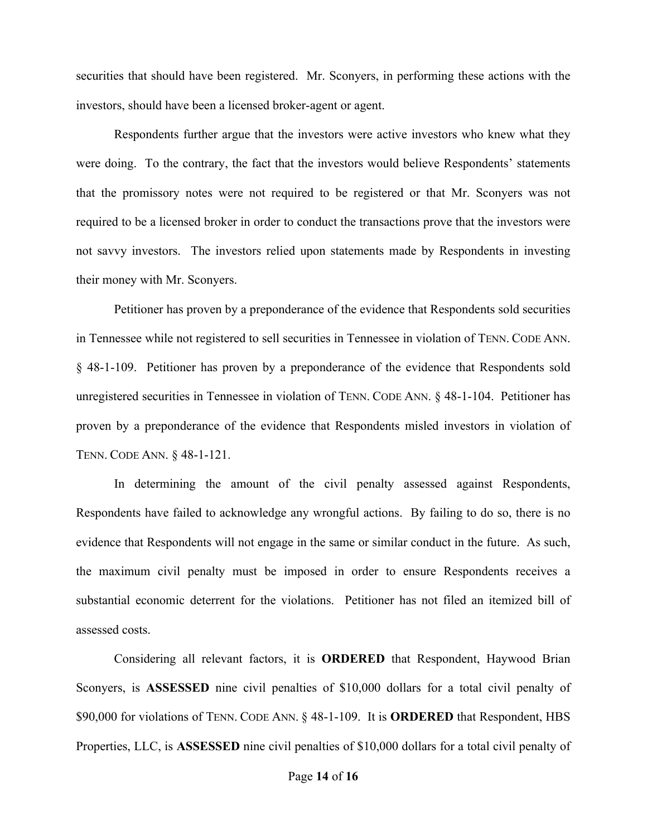securities that should have been registered. Mr. Sconyers, in performing these actions with the investors, should have been a licensed broker-agent or agent.

Respondents further argue that the investors were active investors who knew what they were doing. To the contrary, the fact that the investors would believe Respondents' statements that the promissory notes were not required to be registered or that Mr. Sconyers was not required to be a licensed broker in order to conduct the transactions prove that the investors were not savvy investors. The investors relied upon statements made by Respondents in investing their money with Mr. Sconyers.

Petitioner has proven by a preponderance of the evidence that Respondents sold securities in Tennessee while not registered to sell securities in Tennessee in violation of TENN. CODE ANN. § 48-1-109. Petitioner has proven by a preponderance of the evidence that Respondents sold unregistered securities in Tennessee in violation of TENN. CODE ANN. § 48-1-104. Petitioner has proven by a preponderance of the evidence that Respondents misled investors in violation of TENN. CODE ANN. § 48-1-121.

In determining the amount of the civil penalty assessed against Respondents, Respondents have failed to acknowledge any wrongful actions. By failing to do so, there is no evidence that Respondents will not engage in the same or similar conduct in the future. As such, the maximum civil penalty must be imposed in order to ensure Respondents receives a substantial economic deterrent for the violations. Petitioner has not filed an itemized bill of assessed costs.

Considering all relevant factors, it is **ORDERED** that Respondent, Haywood Brian Sconyers, is **ASSESSED** nine civil penalties of \$10,000 dollars for a total civil penalty of \$90,000 for violations of TENN. CODE ANN. § 48-1-109. It is **ORDERED** that Respondent, HBS Properties, LLC, is **ASSESSED** nine civil penalties of \$10,000 dollars for a total civil penalty of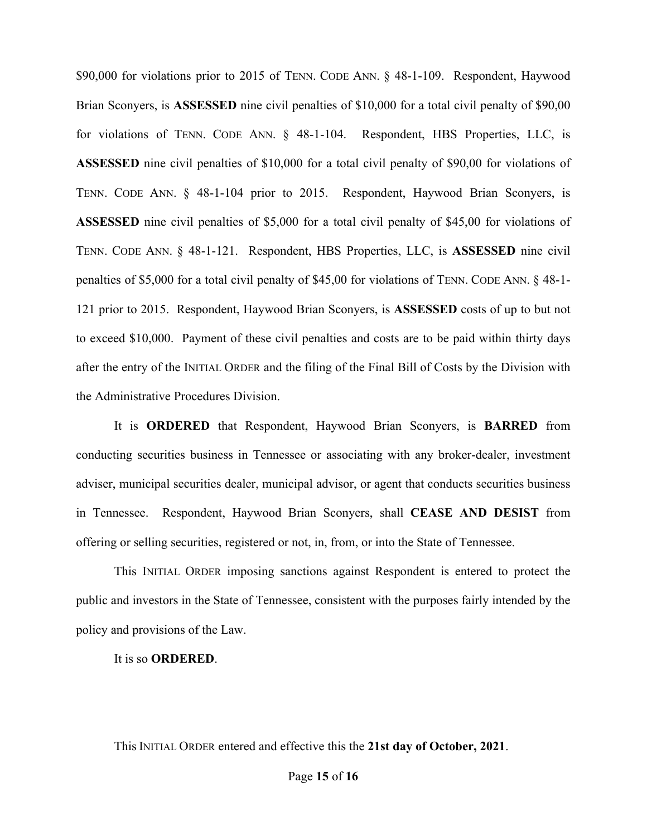\$90,000 for violations prior to 2015 of TENN. CODE ANN. § 48-1-109. Respondent, Haywood Brian Sconyers, is **ASSESSED** nine civil penalties of \$10,000 for a total civil penalty of \$90,00 for violations of TENN. CODE ANN. § 48-1-104. Respondent, HBS Properties, LLC, is **ASSESSED** nine civil penalties of \$10,000 for a total civil penalty of \$90,00 for violations of TENN. CODE ANN. § 48-1-104 prior to 2015. Respondent, Haywood Brian Sconyers, is **ASSESSED** nine civil penalties of \$5,000 for a total civil penalty of \$45,00 for violations of TENN. CODE ANN. § 48-1-121. Respondent, HBS Properties, LLC, is **ASSESSED** nine civil penalties of \$5,000 for a total civil penalty of \$45,00 for violations of TENN. CODE ANN. § 48-1- 121 prior to 2015. Respondent, Haywood Brian Sconyers, is **ASSESSED** costs of up to but not to exceed \$10,000. Payment of these civil penalties and costs are to be paid within thirty days after the entry of the INITIAL ORDER and the filing of the Final Bill of Costs by the Division with the Administrative Procedures Division.

It is **ORDERED** that Respondent, Haywood Brian Sconyers, is **BARRED** from conducting securities business in Tennessee or associating with any broker-dealer, investment adviser, municipal securities dealer, municipal advisor, or agent that conducts securities business in Tennessee. Respondent, Haywood Brian Sconyers, shall **CEASE AND DESIST** from offering or selling securities, registered or not, in, from, or into the State of Tennessee.

This INITIAL ORDER imposing sanctions against Respondent is entered to protect the public and investors in the State of Tennessee, consistent with the purposes fairly intended by the policy and provisions of the Law.

#### It is so **ORDERED**.

This INITIAL ORDER entered and effective this the **21st day of October, 2021**.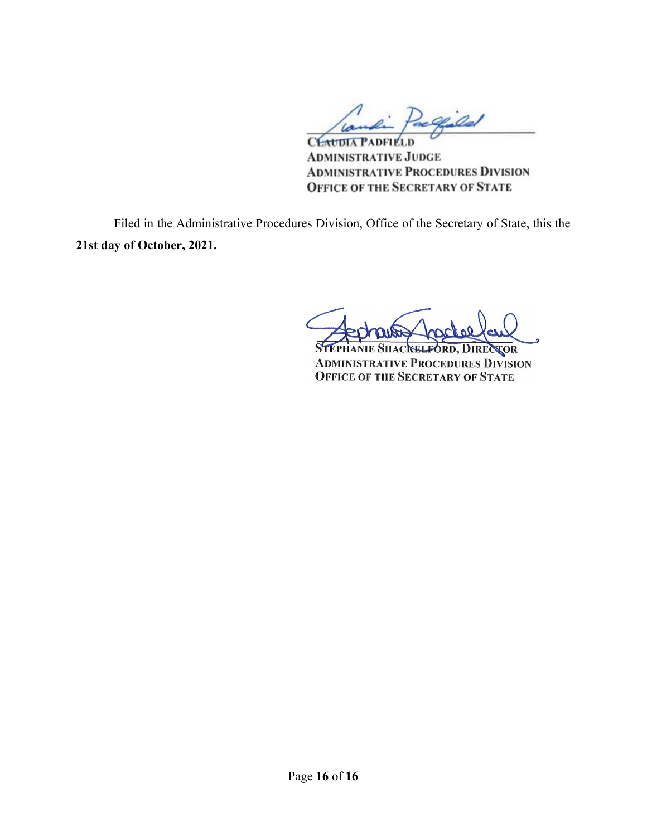Pacquild

CEAUDIA PADFIELD **ADMINISTRATIVE JUDGE ADMINISTRATIVE PROCEDURES DIVISION OFFICE OF THE SECRETARY OF STATE** 

Filed in the Administrative Procedures Division, Office of the Secretary of State, this the **21st day of October, 2021.**

HACKELFORD, DIRECTOR **ADMINISTRATIVE PROCEDURES DIVISION OFFICE OF THE SECRETARY OF STATE**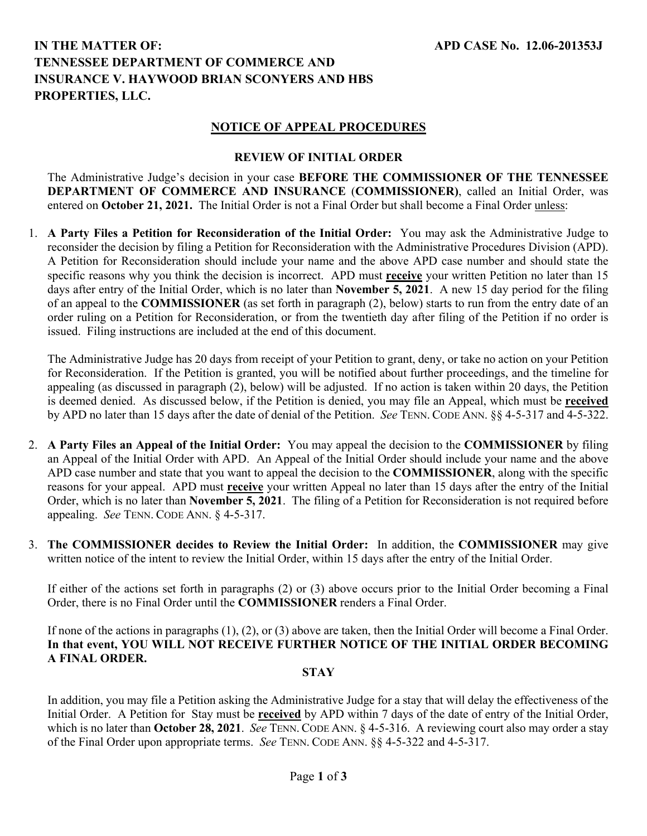# **IN THE MATTER OF: TENNESSEE DEPARTMENT OF COMMERCE AND INSURANCE V. HAYWOOD BRIAN SCONYERS AND HBS PROPERTIES, LLC.**

### **NOTICE OF APPEAL PROCEDURES**

#### **REVIEW OF INITIAL ORDER**

The Administrative Judge's decision in your case **BEFORE THE COMMISSIONER OF THE TENNESSEE DEPARTMENT OF COMMERCE AND INSURANCE** (**COMMISSIONER)**, called an Initial Order, was entered on **October 21, 2021.** The Initial Order is not a Final Order but shall become a Final Order unless:

1. **A Party Files a Petition for Reconsideration of the Initial Order:** You may ask the Administrative Judge to reconsider the decision by filing a Petition for Reconsideration with the Administrative Procedures Division (APD). A Petition for Reconsideration should include your name and the above APD case number and should state the specific reasons why you think the decision is incorrect. APD must **receive** your written Petition no later than 15 days after entry of the Initial Order, which is no later than **November 5, 2021**.A new 15 day period for the filing of an appeal to the **COMMISSIONER** (as set forth in paragraph (2), below) starts to run from the entry date of an order ruling on a Petition for Reconsideration, or from the twentieth day after filing of the Petition if no order is issued. Filing instructions are included at the end of this document.

The Administrative Judge has 20 days from receipt of your Petition to grant, deny, or take no action on your Petition for Reconsideration. If the Petition is granted, you will be notified about further proceedings, and the timeline for appealing (as discussed in paragraph (2), below) will be adjusted. If no action is taken within 20 days, the Petition is deemed denied. As discussed below, if the Petition is denied, you may file an Appeal, which must be **received** by APD no later than 15 days after the date of denial of the Petition. *See* TENN. CODE ANN. §§ 4-5-317 and 4-5-322.

- 2. **A Party Files an Appeal of the Initial Order:** You may appeal the decision to the **COMMISSIONER** by filing an Appeal of the Initial Order with APD.An Appeal of the Initial Order should include your name and the above APD case number and state that you want to appeal the decision to the **COMMISSIONER**, along with the specific reasons for your appeal. APD must **receive** your written Appeal no later than 15 days after the entry of the Initial Order, which is no later than **November 5, 2021**.The filing of a Petition for Reconsideration is not required before appealing. *See* TENN. CODE ANN. § 4-5-317.
- 3. **The COMMISSIONER decides to Review the Initial Order:** In addition, the **COMMISSIONER** may give written notice of the intent to review the Initial Order, within 15 days after the entry of the Initial Order.

If either of the actions set forth in paragraphs (2) or (3) above occurs prior to the Initial Order becoming a Final Order, there is no Final Order until the **COMMISSIONER** renders a Final Order.

If none of the actions in paragraphs (1), (2), or (3) above are taken, then the Initial Order will become a Final Order. **In that event, YOU WILL NOT RECEIVE FURTHER NOTICE OF THE INITIAL ORDER BECOMING A FINAL ORDER.**

#### **STAY**

In addition, you may file a Petition asking the Administrative Judge for a stay that will delay the effectiveness of the Initial Order. A Petition for Stay must be **received** by APD within 7 days of the date of entry of the Initial Order, which is no later than **October 28, 2021**. *See* TENN. CODE ANN. § 4-5-316. A reviewing court also may order a stay of the Final Order upon appropriate terms. *See* TENN. CODE ANN. §§ 4-5-322 and 4-5-317.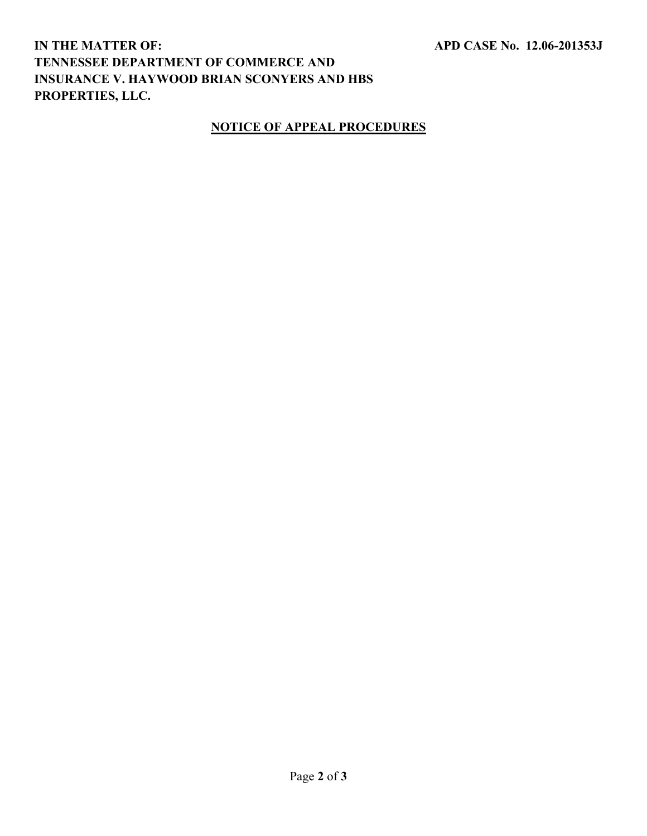# **IN THE MATTER OF: TENNESSEE DEPARTMENT OF COMMERCE AND INSURANCE V. HAYWOOD BRIAN SCONYERS AND HBS PROPERTIES, LLC.**

## **NOTICE OF APPEAL PROCEDURES**